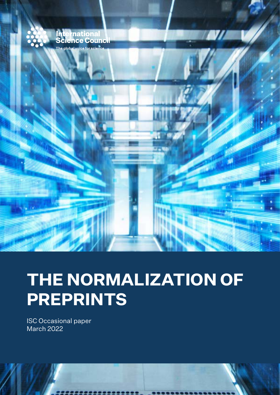

# **THE NORMALIZATION OF PREPRINTS**

ISC Occasional paper March 2022

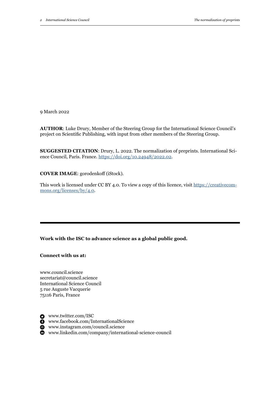9 March 2022

**AUTHOR**: Luke Drury, Member of the Steering Group for the International Science Council's project on Scientific Publishing, with input from other members of the Steering Group.

**SUGGESTED CITATION**: Drury, L. 2022. The normalization of preprints. International Science Council, Paris. France. [https://doi.org/10.24948/2022.02.](https://doi.org/10.24948/2022.02)

**COVER IMAGE**: gorodenkoff (iStock).

This work is licensed under CC BY 4.0. To view a copy of this licence, visit [https://creativecom](https://creativecommons.org/licenses/by/4.0)[mons.org/licenses/by/4.0](https://creativecommons.org/licenses/by/4.0).

**Work with the ISC to advance science as a global public good.**

**Connect with us at:** 

www.council.science secretariat@council.science International Science Council 5 rue Auguste Vacquerie 75116 Paris, France

www.twitter.com/ISC

www.facebook.com/InternationalScience

www.instagram.com/council.science

www.linkedin.com/company/international-science-council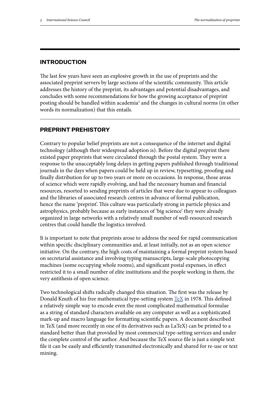#### **INTRODUCTION**

The last few years have seen an explosive growth in the use of preprints and the associated preprint servers by large sections of the scientific community. This article addresses the history of the preprint, its advantages and potential disadvantages, and concludes with some recommendations for how the growing acceptance of preprint posting should be handled within academia<sup>1</sup> and the changes in cultural norms (in other words its normalization) that this entails.

### **PREPRINT PREHISTORY**

Contrary to popular belief preprints are not a consequence of the internet and digital technology (although their widespread adoption is). Before the digital preprint there existed paper preprints that were circulated through the postal system. They were a response to the unacceptably long delays in getting papers published through traditional journals in the days when papers could be held up in review, typesetting, proofing and finally distribution for up to two years or more on occasions. In response, those areas of science which were rapidly evolving, and had the necessary human and financial resources, resorted to sending preprints of articles that were due to appear to colleagues and the libraries of associated research centres in advance of formal publication, hence the name 'preprint'. This culture was particularly strong in particle physics and astrophysics, probably because as early instances of 'big science' they were already organized in large networks with a relatively small number of well-resourced research centres that could handle the logistics involved.

It is important to note that preprints arose to address the need for rapid communication within specific disciplinary communities and, at least initially, not as an open science initiative. On the contrary, the high costs of maintaining a formal preprint system based on secretarial assistance and involving typing manuscripts, large-scale photocopying machines (some occupying whole rooms), and significant postal expenses, in effect restricted it to a small number of elite institutions and the people working in them, the very antithesis of open science.

Two technological shifts radically changed this situation. The first was the release by Donald Knuth of his free mathematical type-setting system [TeX](https://en.wikipedia.org/wiki/TeX) in 1978. This defined a relatively simple way to encode even the most complicated mathematical formulae as a string of standard characters available on any computer as well as a sophisticated mark-up and macro language for formatting scientific papers. A document described in TeX (and more recently in one of its derivatives such as LaTeX) can be printed to a standard better than that provided by most commercial type-setting services and under the complete control of the author. And because the TeX source file is just a simple text file it can be easily and efficiently transmitted electronically and shared for re-use or text mining.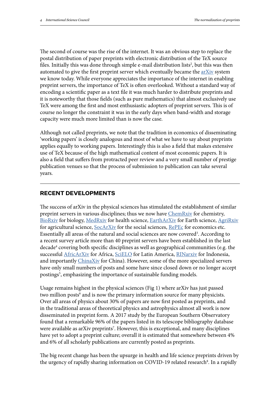The second of course was the rise of the internet. It was an obvious step to replace the postal distribution of paper preprints with electronic distribution of the TeX source files. Initially this was done through simple e-mail distribution lists<sup>2</sup>, but this was then automated to give the first preprint server which eventually became the  $a$ r $X$ iv system we know today. While everyone appreciates the importance of the internet in enabling preprint servers, the importance of TeX is often overlooked. Without a standard way of encoding a scientific paper as a text file it was much harder to distribute preprints and it is noteworthy that those fields (such as pure mathematics) that almost exclusively use TeX were among the first and most enthusiastic adopters of preprint servers. This is of course no longer the constraint it was in the early days when band-width and storage capacity were much more limited than is now the case.

Although not called preprints, we note that the tradition in economics of disseminating 'working papers' is closely analogous and most of what we have to say about preprints applies equally to working papers. Interestingly this is also a field that makes extensive use of TeX because of the high mathematical content of most economic papers. It is also a field that suffers from protracted peer review and a very small number of prestige publication venues so that the process of submission to publication can take several years.

### **RECENT DEVELOPMENTS**

The success of arXiv in the physical sciences has stimulated the establishment of similar preprint servers in various disciplines; thus we now have [ChemRxiv](https://chemrxiv.org/engage/chemrxiv/about-information?show=about-site) for chemistry, [BioRxiv](https://www.biorxiv.org/about-biorxiv) for biology, [MedRxiv](https://www.medrxiv.org/content/about-medrxiv) for health science, [EarthArXiv](https://eartharxiv.org/repository/about/) for Earth science, [AgriRxiv](https://agrirxiv.org/) for agricultural science, [SocArXiv](https://osf.io/preprints/socarxiv) for the social sciences, [RePEc](http://repec.org/) for economics etc. Essentially all areas of the natural and social sciences are now covered<sup>3</sup>. According to a recent survey article more than 40 preprint servers have been established in the last decade<sup>4</sup> covering both specific disciplines as well as geographical communities (e.g. the successful **AfricArXiv** for Africa, [SciELO](https://scielo.org/en/) for Latin America, [RINarxiv](https://rinarxiv.lipi.go.id/lipi) for Indonesia, and importantly [ChinaXiv](http://chinaxiv.org/home.htm) for China). However, some of the more specialized servers have only small numbers of posts and some have since closed down or no longer accept postings<sup>5</sup>, emphasizing the importance of sustainable funding models.

Usage remains highest in the physical sciences (Fig 1) where arXiv has just passed two million posts<sup>6</sup> and is now the primary information source for many physicists. Over all areas of physics about 30% of papers are now first posted as preprints, and in the traditional areas of theoretical physics and astrophysics almost all work is now disseminated in preprint form. A 2017 study by the European Southern Observatory found that a remarkable 96% of the papers listed in its telescope bibliography database were available as arXiv preprints<sup>7</sup>. However, this is exceptional, and many disciplines have yet to adopt a preprint culture; overall it is estimated that somewhere between 4% and 6% of all scholarly publications are currently posted as preprints.

The big recent change has been the upsurge in health and life science preprints driven by the urgency of rapidly sharing information on COVID-19 related research<sup>8</sup>. In a rapidly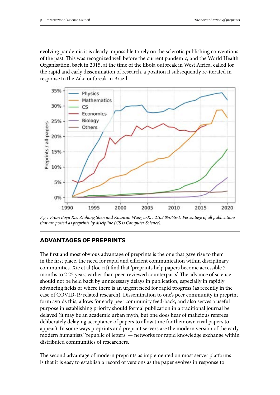evolving pandemic it is clearly impossible to rely on the sclerotic publishing conventions of the past. This was recognized well before the current pandemic, and the World Health Organisation, back in 2015, at the time of the Ebola outbreak in West Africa, called for the rapid and early dissemination of research, a position it subsequently re-iterated in response to the Zika outbreak in Brazil.



*Fig 1 From Boya Xie, Zhihong Shen and Kuansan Wang arXiv:2102.09066v1. Percentage of all publications that are posted as preprints by discipline (CS is Computer Science).*

# **ADVANTAGES OF PREPRINTS**

The first and most obvious advantage of preprints is the one that gave rise to them in the first place, the need for rapid and efficient communication within disciplinary communities. Xie et al (loc cit) find that 'preprints help papers become accessible 7 months to 2.25 years earlier than peer-reviewed counterparts'. The advance of science should not be held back by unnecessary delays in publication, especially in rapidly advancing fields or where there is an urgent need for rapid progress (as recently in the case of COVID-19 related research). Dissemination to one's peer community in preprint form avoids this, allows for early peer community feed-back, and also serves a useful purpose in establishing priority should formal publication in a traditional journal be delayed (it may be an academic urban myth, but one does hear of malicious referees deliberately delaying acceptance of papers to allow time for their own rival papers to appear). In some ways preprints and preprint servers are the modern version of the early modern humanists' 'republic of letters' — networks for rapid knowledge exchange within distributed communities of researchers.

The second advantage of modern preprints as implemented on most server platforms is that it is easy to establish a record of versions as the paper evolves in response to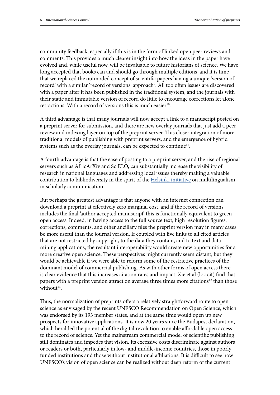community feedback, especially if this is in the form of linked open peer reviews and comments. This provides a much clearer insight into how the ideas in the paper have evolved and, while useful now, will be invaluable to future historians of science. We have long accepted that books can and should go through multiple editions, and it is time that we replaced the outmoded concept of scientific papers having a unique 'version of record' with a similar 'record of versions' approach<sup>9</sup>. All too often issues are discovered with a paper after it has been published in the traditional system, and the journals with their static and immutable version of record do little to encourage corrections let alone retractions. With a record of versions this is much easier $10$ .

A third advantage is that many journals will now accept a link to a manuscript posted on a preprint server for submission, and there are new overlay journals that just add a peer review and indexing layer on top of the preprint server. This closer integration of more traditional models of publishing with preprint servers, and the emergence of hybrid systems such as the overlay journals, can be expected to continue<sup>11</sup>.

A fourth advantage is that the ease of posting to a preprint server, and the rise of regional servers such as AfricArXiv and SciELO, can substantially increase the visibility of research in national languages and addressing local issues thereby making a valuable contribution to bibliodiversity in the spirit of the **Helsinki initiative** on multilingualism in scholarly communication.

But perhaps the greatest advantage is that anyone with an internet connection can download a preprint at effectively zero marginal cost, and if the record of versions includes the final 'author accepted manuscript' this is functionally equivalent to green open access. Indeed, in having access to the full source text, high resolution figures, corrections, comments, and other ancillary files the preprint version may in many cases be more useful than the journal version. If coupled with live links to all cited articles that are not restricted by copyright, to the data they contain, and to text and data mining applications, the resultant interoperability would create new opportunities for a more creative open science. These perspectives might currently seem distant, but they would be achievable if we were able to reform some of the restrictive practices of the dominant model of commercial publishing. As with other forms of open access there is clear evidence that this increases citation rates and impact. Xie et al (loc cit) find that papers with a preprint version attract on average three times more citations<sup>12</sup> than those without<sup>13</sup>.

Thus, the normalization of preprints offers a relatively straightforward route to open science as envisaged by the recent UNESCO Recommendation on Open Science, which was endorsed by its 193 member states, and at the same time would open up new prospects for innovative applications. It is now 20 years since the Budapest declaration, which heralded the potential of the digital revolution to enable affordable open access to the record of science. Yet the mainstream commercial model of scientific publishing still dominates and impedes that vision. Its excessive costs discriminate against authors or readers or both, particularly in low- and middle-income countries, those in poorly funded institutions and those without institutional affiliations. It is difficult to see how UNESCO's vision of open science can be realized without deep reform of the current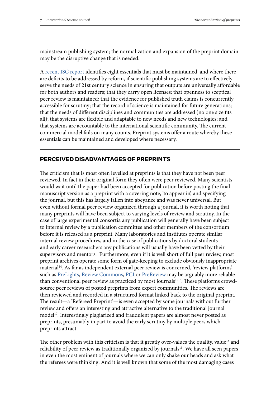mainstream publishing system; the normalization and expansion of the preprint domain may be the disruptive change that is needed.

A [recent ISC report](https://council.science/wp-content/uploads/2020/06/202104_Opening-the-Record-of-Science-Summary_01-ENGLISH-online.pdf) identifies eight essentials that must be maintained, and where there are deficits to be addressed by reform, if scientific publishing systems are to effectively serve the needs of 21st century science in ensuring that outputs are universally affordable for both authors and readers; that they carry open licenses; that openness to sceptical peer review is maintained; that the evidence for published truth claims is concurrently accessible for scrutiny; that the record of science is maintained for future generations; that the needs of different disciplines and communities are addressed (no one size fits all); that systems are flexible and adaptable to new needs and new technologies; and that systems are accountable to the international scientific community. The current commercial model fails on many counts. Preprint systems offer a route whereby these essentials can be maintained and developed where necessary.

# **PERCEIVED DISADVANTAGES OF PREPRINTS**

The criticism that is most often levelled at preprints is that they have not been peer reviewed. In fact in their original form they often were peer reviewed. Many scientists would wait until the paper had been accepted for publication before posting the final manuscript version as a preprint with a covering note, 'to appear in', and specifying the journal, but this has largely fallen into abeyance and was never universal. But even without formal peer review organized through a journal, it is worth noting that many preprints will have been subject to varying levels of review and scrutiny. In the case of large experimental consortia any publication will generally have been subject to internal review by a publication committee and other members of the consortium before it is released as a preprint. Many laboratories and institutes operate similar internal review procedures, and in the case of publications by doctoral students and early career researchers any publications will usually have been vetted by their supervisors and mentors. Furthermore, even if it is well short of full peer review, most preprint archives operate some form of gate-keeping to exclude obviously inappropriate material<sup>14</sup>. As far as independent external peer review is concerned, 'review platforms' such as [PreLights,](https://prelights.biologists.com/) [Review Commons,](https://www.reviewcommons.org/about/) [PCI](https://peercommunityin.org/) or [PreReview](https://www.prereview.org/) may be arguably more reliable than conventional peer review as practiced by most journals<sup>1516</sup>. These platforms crowdsource peer reviews of posted preprints from expert communities. The reviews are then reviewed and recorded in a structured format linked back to the original preprint. The result—a 'Refereed Preprint'—is even accepted by some journals without further review and offers an interesting and attractive alternative to the traditional journal model<sup>17</sup>. Interestingly plagiarized and fraudulent papers are almost never posted as preprints, presumably in part to avoid the early scrutiny by multiple peers which preprints attract.

The other problem with this criticism is that it greatly over-values the quality, value<sup>18</sup> and reliability of peer review as traditionally organized by journals<sup>19</sup>. We have all seen papers in even the most eminent of journals where we can only shake our heads and ask what the referees were thinking. And it is well known that some of the most damaging cases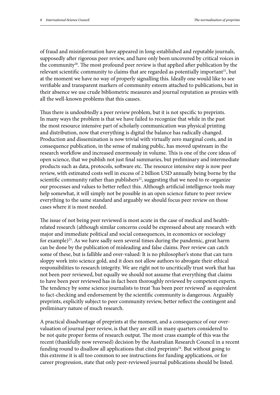of fraud and misinformation have appeared in long-established and reputable journals, supposedly after rigorous peer review, and have only been uncovered by critical voices in the community<sup>20</sup>. The most profound peer review is that applied after publication by the relevant scientific community to claims that are regarded as potentially important<sup>21</sup>, but at the moment we have no way of properly signalling this. Ideally one would like to see verifiable and transparent markers of community esteem attached to publications, but in their absence we use crude bibliometric measures and journal reputation as proxies with all the well-known problems that this causes.

Thus there is undoubtedly a peer review problem, but it is not specific to preprints. In many ways the problem is that we have failed to recognize that while in the past the most resource intensive part of scholarly communication was physical printing and distribution, now that everything is digital the balance has radically changed. Production and dissemination is now trivial with virtually zero marginal costs, and in consequence publication, in the sense of making public, has moved upstream in the research workflow and increased enormously in volume. This is one of the core ideas of open science, that we publish not just final summaries, but preliminary and intermediate products such as data, protocols, software etc. The resource intensive step is now peer review, with estimated costs well in excess of 2 billion USD annually being borne by the scientific community rather than publishers $22$ , suggesting that we need to re-organize our processes and values to better reflect this. Although artificial intelligence tools may help somewhat, it will simply not be possible in an open science future to peer review everything to the same standard and arguably we should focus peer review on those cases where it is most needed.

The issue of not being peer reviewed is most acute in the case of medical and healthrelated research (although similar concerns could be expressed about any research with major and immediate political and social consequences, in economics or sociology for example)<sup>23</sup>. As we have sadly seen several times during the pandemic, great harm can be done by the publication of misleading and false claims. Peer review can catch some of these, but is fallible and over-valued: It is no philosopher's stone that can turn sloppy work into science gold, and it does not allow authors to abrogate their ethical responsibilities to research integrity. We are right not to uncritically trust work that has not been peer reviewed, but equally we should not assume that everything that claims to have been peer reviewed has in fact been thoroughly reviewed by competent experts. The tendency by some science journalists to treat 'has been peer reviewed' as equivalent to fact-checking and endorsement by the scientific community is dangerous. Arguably preprints, explicitly subject to peer community review, better reflect the contingent and preliminary nature of much research.

A practical disadvantage of preprints at the moment, and a consequence of our overvaluation of journal peer review, is that they are still in many quarters considered to be not quite proper forms of research output. The most crass example of this was the recent (thankfully now reversed) decision by the Australian Research Council in a recent funding round to disallow all applications that cited preprints<sup>24</sup>. But without going to this extreme it is all too common to see instructions for funding applications, or for career progression, state that only peer-reviewed journal publications should be listed.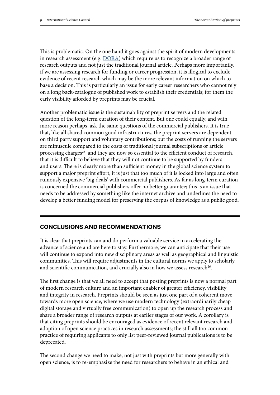This is problematic. On the one hand it goes against the spirit of modern developments in research assessment (e.g. **[DORA](https://sfdora.org/)**) which require us to recognize a broader range of research outputs and not just the traditional journal article. Perhaps more importantly, if we are assessing research for funding or career progression, it is illogical to exclude evidence of recent research which may be the more relevant information on which to base a decision. This is particularly an issue for early career researchers who cannot rely on a long back-catalogue of published work to establish their credentials; for them the early visibility afforded by preprints may be crucial.

Another problematic issue is the sustainability of preprint servers and the related question of the long-term curation of their content. But one could equally, and with more reason perhaps, ask the same questions of the commercial publishers. It is true that, like all shared common good infrastructures, the preprint servers are dependent on third party support and voluntary contributions; but the costs of running the servers are minuscule compared to the costs of traditional journal subscriptions or article processing charges<sup>25</sup>, and they are now so essential to the efficient conduct of research, that it is difficult to believe that they will not continue to be supported by funders and users. There is clearly more than sufficient money in the global science system to support a major preprint effort, it is just that too much of it is locked into large and often ruinously expensive 'big deals' with commercial publishers. As far as long-term curation is concerned the commercial publishers offer no better guarantee; this is an issue that needs to be addressed by something like the internet archive and underlines the need to develop a better funding model for preserving the corpus of knowledge as a public good.

# **CONCLUSIONS AND RECOMMENDATIONS**

It is clear that preprints can and do perform a valuable service in accelerating the advance of science and are here to stay. Furthermore, we can anticipate that their use will continue to expand into new disciplinary areas as well as geographical and linguistic communities. This will require adjustments in the cultural norms we apply to scholarly and scientific communication, and crucially also in how we assess research<sup>26</sup>.

The first change is that we all need to accept that posting preprints is now a normal part of modern research culture and an important enabler of greater efficiency, visibility and integrity in research. Preprints should be seen as just one part of a coherent move towards more open science, where we use modern technology (extraordinarily cheap digital storage and virtually free communication) to open up the research process and share a broader range of research outputs at earlier stages of our work. A corollary is that citing preprints should be encouraged as evidence of recent relevant research and adoption of open science practices in research assessments; the still all too common practice of requiring applicants to only list peer-reviewed journal publications is to be deprecated.

The second change we need to make, not just with preprints but more generally with open science, is to re-emphasize the need for researchers to behave in an ethical and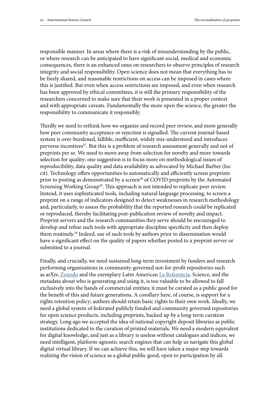responsible manner. In areas where there is a risk of misunderstanding by the public, or where research can be anticipated to have significant social, medical and economic consequences, there is an enhanced onus on researchers to observe principles of research integrity and social responsibility. Open science does not mean that everything has to be freely shared, and reasonable restrictions on access can be imposed in cases where this is justified. But even when access restrictions are imposed, and even when research has been approved by ethical committees, it is still the primary responsibility of the researchers concerned to make sure that their work is presented in a proper context and with appropriate caveats. Fundamentally the more open the science, the greater the responsibility to communicate it responsibly.

Thirdly we need to rethink how we organize and record peer review, and more generally how peer community acceptance or rejection is signalled. The current journal-based system is over-burdened, fallible, inefficient, widely mis-understood and introduces perverse incentives<sup>27</sup>. But this is a problem of research assessment generally and not of preprints per se. We need to move away from selection for novelty and more towards selection for quality; one suggestion is to focus more on methodological issues of reproducibility, data quality and data availability as advocated by Michael Barber (loc cit). Technology offers opportunities to automatically and efficiently screen preprints prior to posting as demonstrated by a screen<sup>28</sup> of COVID preprints by the Automated Screening Working Group<sup>29</sup>. This approach is not intended to replicate peer review. Instead, it uses sophisticated tools, including natural language processing, to screen a preprint on a range of indicators designed to detect weaknesses in research methodology and, particularly, to assess the probability that the reported research could be replicated or reproduced, thereby facilitating post-publication review of novelty and impact. Preprint servers and the research communities they serve should be encouraged to develop and refine such tools with appropriate discipline specificity and then deploy them routinely.30 Indeed, use of such tools by authors prior to dissemination would have a significant effect on the quality of papers whether posted to a preprint server or submitted to a journal.

Finally, and crucially, we need sustained long-term investment by funders and research performing organizations in community-governed not-for-profit repositories such as arXiv, [Zenodo](https://zenodo.org/) and the exemplary Latin American [La Referencia.](http://www.lareferencia.info/en/institutional/about-us) Science, and the metadata about who is generating and using it, is too valuable to be allowed to fall exclusively into the hands of commercial entities; it must be curated as a public good for the benefit of this and future generations. A corollary here, of course, is support for a rights retention policy; authors should retain basic rights to their own work. Ideally, we need a global system of federated publicly funded and community governed repositories for open science products, including preprints, backed up by a long-term curation strategy. Long ago we accepted the idea of national copyright deposit libraries as public institutions dedicated to the curation of printed materials. We need a modern equivalent for digital knowledge, and just as a library is useless without catalogues and indices, we need intelligent, platform-agnostic search engines that can help us navigate this global digital virtual library. If we can achieve this, we will have taken a major step towards realizing the vision of science as a global public good, open to participation by all.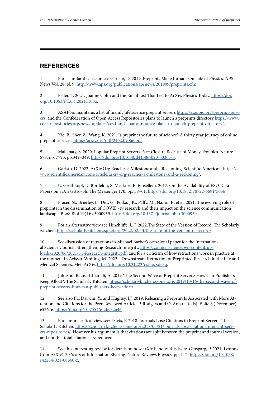# **REFERENCES**

1 For a similar discussion see Garisto, D. 2019. Preprints Make Inroads Outside of Physics. APS News Vol. 28, N. 9. [http://www.aps.org/publications/apsnews/201909/preprints.cfm.](http://www.aps.org/publications/apsnews/201909/preprints.cfm)

2 Feder, T. 2021. Joanne Cohn and the Email List That Led to ArXiv, Physics Today. [https://doi.](https://doi.org/10.1063/PT.6.4.20211108a) [org/10.1063/PT.6.4.20211108a](https://doi.org/10.1063/PT.6.4.20211108a).

3 ASAPbio maintains a list of mainly life science preprint servers [https://asapbio.org/preprint-serv](https://asapbio.org/preprint-servers)[ers,](https://asapbio.org/preprint-servers) and the Confederation of Open Access Repositories plans to launch a preprints directory [https://www.](https://www.coar-repositories.org/news-updates/ccsd-and-coar-announce-plans-to-launch-preprint-directory/) [coar-repositories.org/news-updates/ccsd-and-coar-announce-plans-to-launch-preprint-directory/](https://www.coar-repositories.org/news-updates/ccsd-and-coar-announce-plans-to-launch-preprint-directory/).

4 Xie, B., Shen Z., Wang, K. 2021. Is preprint the future of science? A thirty year journey of online preprint services. [https://arxiv.org/pdf/2102.09066.pdf](https://arxiv.org/pdf/2102.09066.pdf )

5 Mallapaty, S. 2020. Popular Preprint Servers Face Closure Because of Money Troubles. Nature 578, no. 7795, pp.349–349. [https://doi.org/10.1038/d41586-020-00363-3.](https://doi.org/10.1038/d41586-020-00363-3)

6 Garisto, D. 2022. ArXiv.Org Reaches a Milestone and a Reckoning. Scientific American. [https://](https://www.scientificamerican.com/article/arxiv-org-reaches-a-milestone-and-a-reckoning/) [www.scientificamerican.com/article/arxiv-org-reaches-a-milestone-and-a-reckoning/.](https://www.scientificamerican.com/article/arxiv-org-reaches-a-milestone-and-a-reckoning/)

U. Grothkopf, D. Bordelon, S. Meakins, E. Emsellem. 2017. On the Availability of ESO Data Papers on arXiv/astro-ph. The Messenger 170, pp. 58–61. <https://doi.org/10.18727/0722-6691/5056>

8 Fraser, N., Brierley, L., Dey, G., Polka, J.K., Pálfy, M., Nanni, F., et al. 2021. The evolving role of preprints in the dissemination of COVID-19 research and their impact on the science communication landscape. PLoS Biol 19(4): e3000959. <https://doi.org/10.1371/journal.pbio.3000959>

9 For an alternative view see Hinchliffe, L. J. 2022.The State of the Version of Record. The Scholarly Kitchen. <https://scholarlykitchen.sspnet.org/2022/02/14/the-state-of-the-version-of-record/>.

10 See discussion of retractions in Michael Barber's occasional paper for the International Science Council, Strengthening Research Integrity, [https://council.science/wp-content/up](https://council.science/wp-content/uploads/2020/06/2021-11-Research-integrity.pdf)[loads/2020/06/2021-11-Research-integrity.pdf](https://council.science/wp-content/uploads/2020/06/2021-11-Research-integrity.pdf); and for a criticism of how retractions work in practice at the moment in Avissar-Whiting, M. 2022. Downstream Retraction of Preprinted Research in the Life and Medical Sciences. MetaArXiv.<https://doi.org/10.31222/osf.io/xdekq>.

11 Johnson, R. and Chiarelli, A. 2019."The Second Wave of Preprint Servers: How Can Publishers Keep Afloat?. The Scholarly Kitchen. [https://scholarlykitchen.sspnet.org/2019/10/16/the-second-wave-of](https://scholarlykitchen.sspnet.org/2019/10/16/the-second-wave-of-preprint-servers-how-can-publishers-keep-afloat/)[preprint-servers-how-can-publishers-keep-afloat/.](https://scholarlykitchen.sspnet.org/2019/10/16/the-second-wave-of-preprint-servers-how-can-publishers-keep-afloat/)

12 See also Fu, Darwin, Y., and Hughey, J.J. 2019. Releasing a Preprint Is Associated with More Attention and Citations for the Peer-Reviewed Article. P. Rodgers and O. Amaral (eds). ELife 8 (December): e52646. [https://doi.org/10.7554/eLife.52646.](https://doi.org/10.7554/eLife.52646)

13 For a more critical view see: Davis, P. 2018. Journals Lose Citations to Preprint Servers. The Scholarly Kitchen. [https://scholarlykitchen.sspnet.org/2018/05/21/journals-lose-citations-preprint-serv](https://scholarlykitchen.sspnet.org/2018/05/21/journals-lose-citations-preprint-servers-repositories/)[ers-repositories/](https://scholarlykitchen.sspnet.org/2018/05/21/journals-lose-citations-preprint-servers-repositories/). However his argument is that citations are split between the preprint and journal version, and not that total citations are reduced.

14 See this interesting review for details on how arXiv handles this issue. Ginsparg, P. 2021. Lessons from ArXiv's 30 Years of Information Sharing. Nature Reviews Physics, pp. 1–2. [https://doi.org/10.1038/](https://doi.org/10.1038/s42254-021-00360-z) [s42254-021-00360-z.](https://doi.org/10.1038/s42254-021-00360-z)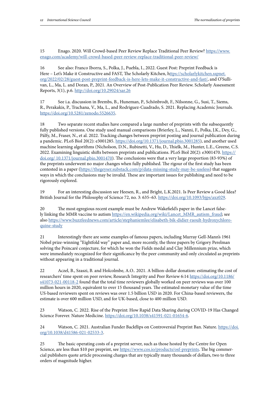15 Enago. 2020. Will Crowd-based Peer Review Replace Traditional Peer Review? [https://www.](https://www.enago.com/academy/will-crowd-based-peer-review-replace-traditional-peer-review/) [enago.com/academy/will-crowd-based-peer-review-replace-traditional-peer-review/](https://www.enago.com/academy/will-crowd-based-peer-review-replace-traditional-peer-review/)

16 See also: Franco Iborra, S., Polka, J., Puebla, I., 2022. Guest Post: Preprint Feedback is Here – Let's Make it Constructive and FAST, The Scholarly Kitchen, [https://scholarlykitchen.sspnet.](ttps://scholarlykitchen.sspnet.org/2022/02/28/guest-post-preprint-feedback-is-here-lets-make-it-constructive-and-fast/) [org/2022/02/28/guest-post-preprint-feedback-is-here-lets-make-it-constructive-and-fast/](ttps://scholarlykitchen.sspnet.org/2022/02/28/guest-post-preprint-feedback-is-here-lets-make-it-constructive-and-fast/), and O'Sullivan, L., Ma, L. and Doran, P., 2021. An Overview of Post-Publication Peer Review. Scholarly Assessment Reports, 3(1), p.6. <http://doi.org/10.29024/sar.26>

17 See i.a. discussion in Brembs, B., Huneman, P., Schönbrodt, F., Nilsonne, G., Susi, T., Siems, R., Perakakis, P., Trachana, V., Ma, L., and Rodriguez-Cuadrado, S. 2021. Replacing Academic Journals. <https://doi.org/10.5281/zenodo.5526635>.

18 Two separate recent studies have compared a large number of preprints with the subsequently fully published versions. One study used manual comparisons (Brierley, L., Nanni, F., Polka, J.K., Dey, G., Pálfy, M., Fraser, N., et al. 2022. Tracking changes between preprint posting and journal publication during a pandemic. PLoS Biol 20(2): e3001285. <https://doi.org/10.1371/journal.pbio.3001285>), and another used machine learning algorithms (Nicholson, D.N., Rubinetti, V., Hu, D., Thielk, M., Hunter, L.E., Greene, C.S. 2022. Examining linguistic shifts between preprints and publications. PLoS Biol 20(2): e3001470. [https://](https://doi.org/ 10.1371/journal.pbio.3001470) [doi.org/ 10.1371/journal.pbio.3001470](https://doi.org/ 10.1371/journal.pbio.3001470)). The conclusions were that a very large proportion (83-93%) of the preprints underwent no major changes when fully published. The rigour of the first study has been contested in a paper (<https://thegeyser.substack.com/p/data-missing-study-may-be-useless>) that suggests ways in which the conclusions may be invalid. These are important issues for publishing and need to be rigorously explored.

19 For an interesting discussion see Heesen, R., and Bright, L.K.2021. Is Peer Review a Good Idea? British Journal for the Philosophy of Science 72, no. 3: 635-63. [https://doi.org/10.1093/bjps/axz029.](https://doi.org/10.1093/bjps/axz029)

20 The most egregious recent example must be Andrew Wakefield's paper in the Lancet falsely linking the MMR vaccine to autism [https://en.wikipedia.org/wiki/Lancet\\_MMR\\_autism\\_fraud;](https://en.wikipedia.org/wiki/Lancet_MMR_autism_fraud) see also [https://www.buzzfeednews.com/article/stephaniemlee/elisabeth-bik-didier-raoult-hydroxychloro](https://www.buzzfeednews.com/article/stephaniemlee/elisabeth-bik-didier-raoult-hydroxychloroquine-study)[quine-study](https://www.buzzfeednews.com/article/stephaniemlee/elisabeth-bik-didier-raoult-hydroxychloroquine-study)

21 Interestingly there are some examples of famous papers, including Murray Gell-Mann's 1961 Nobel prize-winning "Eightfold way" paper and, more recently, the three papers by Grigory Perelman solving the Poincaré conjecture, for which he won the Fields medal and Clay Millennium prize, which were immediately recognized for their significance by the peer community and only circulated as preprints without appearing in a traditional journal.

22 Aczel, B., Szaszi, B. and Holcolmbe, A.O.. 2021. A billion-dollar donation: estimating the cost of researchers' time spent on peer review, Research Integrity and Peer Review 6:14 [https://doi.org/10.1186/](https://doi.org/10.1186/s41073-021-00118-2) [s41073-021-00118-2](https://doi.org/10.1186/s41073-021-00118-2) found that the total time reviewers globally worked on peer reviews was over 100 million hours in 2020, equivalent to over 15 thousand years. The estimated monetary value of the time US-based reviewers spent on reviews was over 1.5 billion USD in 2020. For China-based reviewers, the estimate is over 600 million USD, and for UK-based, close to 400 million USD.

23 Watson, C. 2022. Rise of the Preprint: How Rapid Data Sharing during COVID-19 Has Changed Science Forever. Nature Medicine. [https://doi.org/10.1038/s41591-021-01654-6.](https://doi.org/10.1038/s41591-021-01654-6)

24 Watson, C. 2021. Australian Funder Backflips on Controversial Preprint Ban. Nature. [https://doi.](https://doi.org/10.1038/d41586-021-02533-3) [org/10.1038/d41586-021-02533-3](https://doi.org/10.1038/d41586-021-02533-3).

25 The basic operating costs of a preprint server, such as those hosted by the Centre for Open Science, are less than \$10 per preprint, see [https://www.cos.io/products/osf-preprints.](https://www.cos.io/products/osf-preprints) The big commercial publishers quote article processing charges that are typically many thousands of dollars, two to three orders of magnitude higher.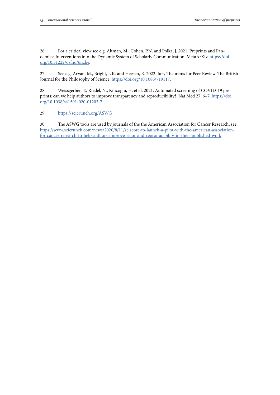26 For a critical view see e.g. Altman, M., Cohen, P.N. and Polka, J. 2021. Preprints and Pandemics: Interventions into the Dynamic System of Scholarly Communication. MetaArXiv. [https://doi.](https://doi.org/10.31222/osf.io/6nzhe) [org/10.31222/osf.io/6nzhe.](https://doi.org/10.31222/osf.io/6nzhe)

27 See e.g. Arvan, M., Bright, L.K. and Heesen, R. 2022. Jury Theorems for Peer Review. The British Journal for the Philosophy of Science.<https://doi.org/10.1086/719117>.

28 Weissgerber, T., Riedel, N., Kilicoglu, H. et al. 2021. Automated screening of COVID-19 preprints: can we help authors to improve transparency and reproducibility?. Nat Med 27, 6-7. [https://doi.](https://doi.org/10.1038/s41591-020-01203-7 ) [org/10.1038/s41591-020-01203-7](https://doi.org/10.1038/s41591-020-01203-7 )

#### 29 <https://scicrunch.org/ASWG>

30 The ASWG tools are used by journals of the the American Association for Cancer Research, see [https://www.scicrunch.com/news/2020/8/11/sciscore-to-launch-a-pilot-with-the-american-association](https://www.scicrunch.com/news/2020/8/11/sciscore-to-launch-a-pilot-with-the-american-association-fo)[for-cancer-research-to-help-authors-improve-rigor-and-reproducibility-in-their-published-work](https://www.scicrunch.com/news/2020/8/11/sciscore-to-launch-a-pilot-with-the-american-association-fo)